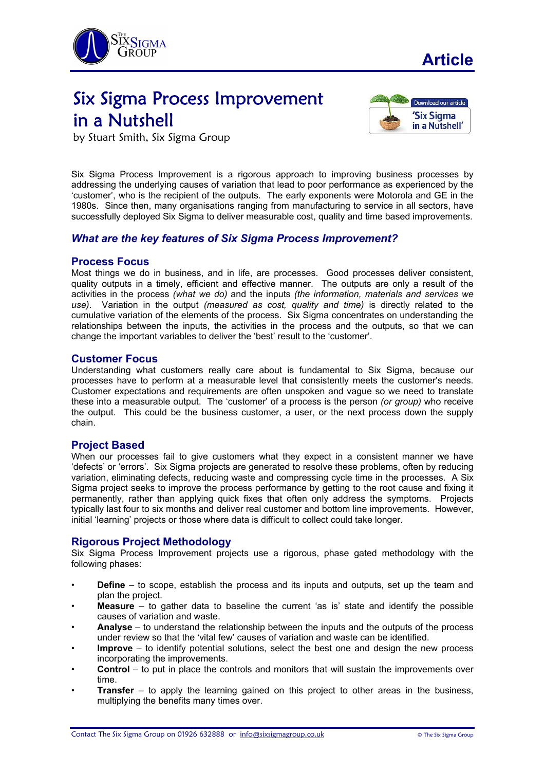

# Six Sigma Process Improvement in a Nutshell



by Stuart Smith, Six Sigma Group

Six Sigma Process Improvement is a rigorous approach to improving business processes by addressing the underlying causes of variation that lead to poor performance as experienced by the 'customer', who is the recipient of the outputs. The early exponents were Motorola and GE in the 1980s. Since then, many organisations ranging from manufacturing to service in all sectors, have successfully deployed Six Sigma to deliver measurable cost, quality and time based improvements.

# *What are the key features of Six Sigma Process Improvement?*

### **Process Focus**

Most things we do in business, and in life, are processes. Good processes deliver consistent, quality outputs in a timely, efficient and effective manner. The outputs are only a result of the activities in the process *(what we do)* and the inputs *(the information, materials and services we use)*. Variation in the output *(measured as cost, quality and time)* is directly related to the cumulative variation of the elements of the process. Six Sigma concentrates on understanding the relationships between the inputs, the activities in the process and the outputs, so that we can change the important variables to deliver the 'best' result to the 'customer'.

### **Customer Focus**

Understanding what customers really care about is fundamental to Six Sigma, because our processes have to perform at a measurable level that consistently meets the customer's needs. Customer expectations and requirements are often unspoken and vague so we need to translate these into a measurable output. The 'customer' of a process is the person *(or group)* who receive the output. This could be the business customer, a user, or the next process down the supply chain.

# **Project Based**

When our processes fail to give customers what they expect in a consistent manner we have 'defects' or 'errors'. Six Sigma projects are generated to resolve these problems, often by reducing variation, eliminating defects, reducing waste and compressing cycle time in the processes. A Six Sigma project seeks to improve the process performance by getting to the root cause and fixing it permanently, rather than applying quick fixes that often only address the symptoms. Projects typically last four to six months and deliver real customer and bottom line improvements. However, initial 'learning' projects or those where data is difficult to collect could take longer.

# **Rigorous Project Methodology**

Six Sigma Process Improvement projects use a rigorous, phase gated methodology with the following phases:

- **Define** to scope, establish the process and its inputs and outputs, set up the team and plan the project.
- **Measure** to gather data to baseline the current 'as is' state and identify the possible causes of variation and waste.
- **Analyse** to understand the relationship between the inputs and the outputs of the process under review so that the 'vital few' causes of variation and waste can be identified.
- **Improve** to identify potential solutions, select the best one and design the new process incorporating the improvements.
- **Control** to put in place the controls and monitors that will sustain the improvements over time.
- **Transfer** to apply the learning gained on this project to other areas in the business, multiplying the benefits many times over.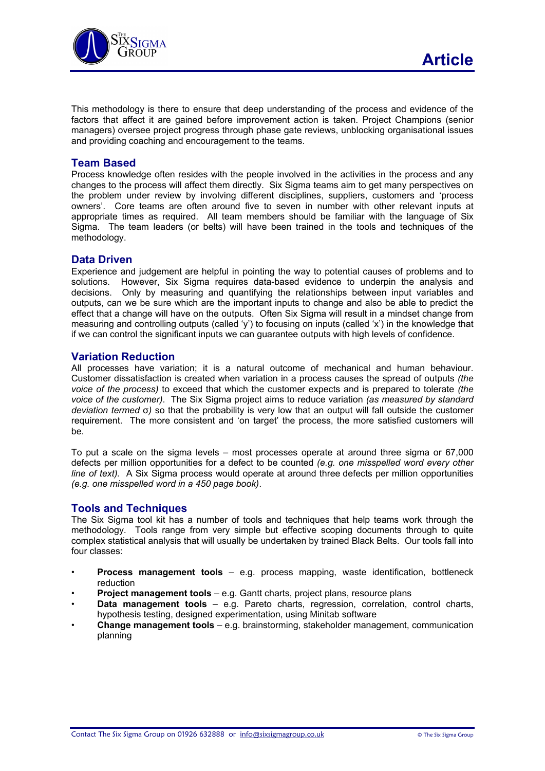

This methodology is there to ensure that deep understanding of the process and evidence of the factors that affect it are gained before improvement action is taken. Project Champions (senior managers) oversee project progress through phase gate reviews, unblocking organisational issues and providing coaching and encouragement to the teams.

## **Team Based**

Process knowledge often resides with the people involved in the activities in the process and any changes to the process will affect them directly. Six Sigma teams aim to get many perspectives on the problem under review by involving different disciplines, suppliers, customers and 'process owners'. Core teams are often around five to seven in number with other relevant inputs at appropriate times as required. All team members should be familiar with the language of Six Sigma. The team leaders (or belts) will have been trained in the tools and techniques of the methodology.

## **Data Driven**

Experience and judgement are helpful in pointing the way to potential causes of problems and to solutions. However, Six Sigma requires data-based evidence to underpin the analysis and decisions. Only by measuring and quantifying the relationships between input variables and outputs, can we be sure which are the important inputs to change and also be able to predict the effect that a change will have on the outputs. Often Six Sigma will result in a mindset change from measuring and controlling outputs (called 'y') to focusing on inputs (called 'x') in the knowledge that if we can control the significant inputs we can guarantee outputs with high levels of confidence.

### **Variation Reduction**

All processes have variation; it is a natural outcome of mechanical and human behaviour. Customer dissatisfaction is created when variation in a process causes the spread of outputs *(the voice of the process)* to exceed that which the customer expects and is prepared to tolerate *(the voice of the customer)*. The Six Sigma project aims to reduce variation *(as measured by standard deviation termed* σ*)* so that the probability is very low that an output will fall outside the customer requirement. The more consistent and 'on target' the process, the more satisfied customers will be.

To put a scale on the sigma levels – most processes operate at around three sigma or 67,000 defects per million opportunities for a defect to be counted *(e.g. one misspelled word every other line of text).* A Six Sigma process would operate at around three defects per million opportunities *(e.g. one misspelled word in a 450 page book)*.

# **Tools and Techniques**

The Six Sigma tool kit has a number of tools and techniques that help teams work through the methodology. Tools range from very simple but effective scoping documents through to quite complex statistical analysis that will usually be undertaken by trained Black Belts. Our tools fall into four classes:

- **Process management tools** e.g. process mapping, waste identification, bottleneck reduction
- **Project management tools** e.g. Gantt charts, project plans, resource plans
- **Data management tools** e.g. Pareto charts, regression, correlation, control charts, hypothesis testing, designed experimentation, using Minitab software
- **Change management tools** e.g. brainstorming, stakeholder management, communication planning